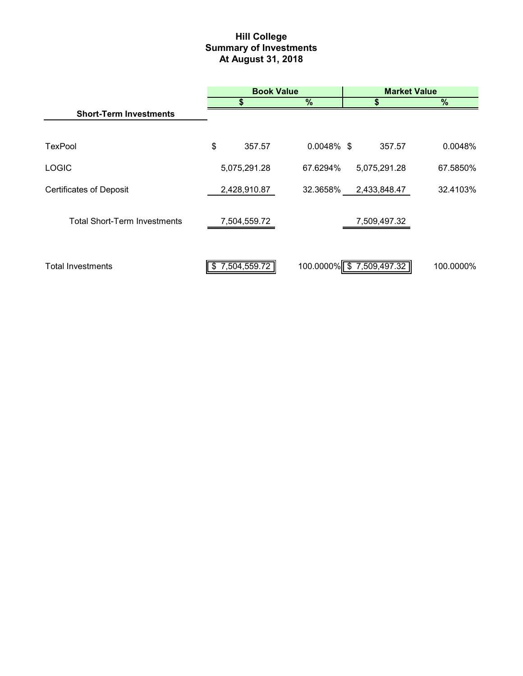# **Hill College Summary of Investments At August 31, 2018**

|                                     | <b>Book Value</b> |        |                          | <b>Market Value</b> |              |           |
|-------------------------------------|-------------------|--------|--------------------------|---------------------|--------------|-----------|
|                                     | S                 |        | $\frac{9}{6}$            |                     |              | $\%$      |
| <b>Short-Term Investments</b>       |                   |        |                          |                     |              |           |
|                                     |                   |        |                          |                     |              |           |
| <b>TexPool</b>                      | \$                | 357.57 | $0.0048\%$ \$            |                     | 357.57       | 0.0048%   |
| <b>LOGIC</b>                        | 5,075,291.28      |        | 67.6294%                 |                     | 5,075,291.28 | 67.5850%  |
| <b>Certificates of Deposit</b>      | 2,428,910.87      |        | 32.3658%                 |                     | 2,433,848.47 | 32.4103%  |
| <b>Total Short-Term Investments</b> | 7,504,559.72      |        |                          |                     | 7,509,497.32 |           |
| <b>Total Investments</b>            | 7,504,559.72<br>S |        | 100.0000% \$7,509,497.32 |                     |              | 100.0000% |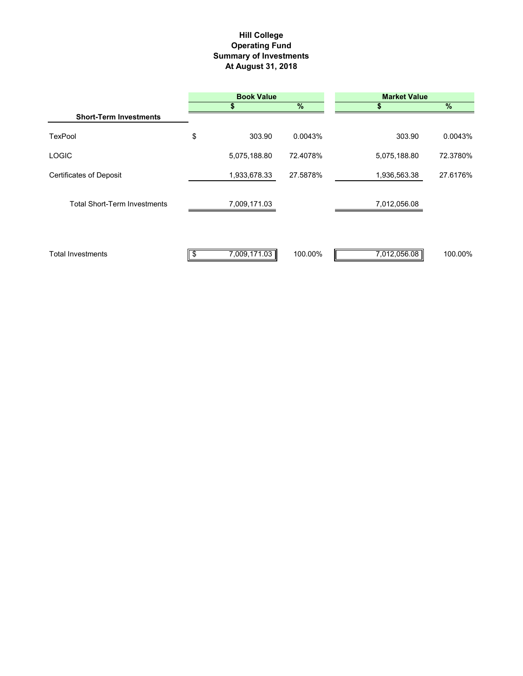# **Hill College Operating Fund Summary of Investments At August 31, 2018**

|                                     |    | <b>Book Value</b> |          | <b>Market Value</b> |          |
|-------------------------------------|----|-------------------|----------|---------------------|----------|
|                                     |    | S                 | $\%$     |                     | $\%$     |
| <b>Short-Term Investments</b>       |    |                   |          |                     |          |
| <b>TexPool</b>                      | \$ | 303.90            | 0.0043%  | 303.90              | 0.0043%  |
| <b>LOGIC</b>                        |    | 5,075,188.80      | 72.4078% | 5,075,188.80        | 72.3780% |
| <b>Certificates of Deposit</b>      |    | 1,933,678.33      | 27.5878% | 1,936,563.38        | 27.6176% |
| <b>Total Short-Term Investments</b> |    | 7,009,171.03      |          | 7,012,056.08        |          |
| Total Investments                   | S. | 7,009,171.03      | 100.00%  | 7,012,056.08        | 100.00%  |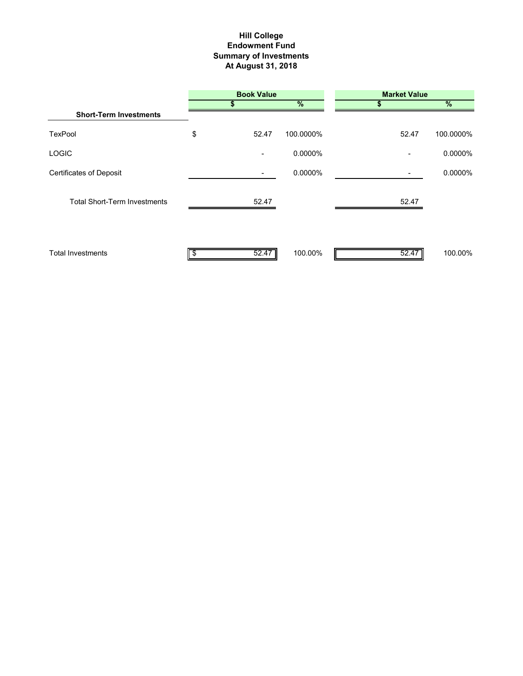# **Summary of Investments At August 31, 2018 Hill College Endowment Fund**

|                                     |    | <b>Book Value</b> |               | <b>Market Value</b> |               |
|-------------------------------------|----|-------------------|---------------|---------------------|---------------|
|                                     | S  |                   | $\frac{9}{6}$ | Ъ                   | $\frac{9}{6}$ |
| <b>Short-Term Investments</b>       |    |                   |               |                     |               |
| TexPool                             | \$ | 52.47             | 100.0000%     | 52.47               | 100.0000%     |
| <b>LOGIC</b>                        |    |                   | 0.0000%       |                     | 0.0000%       |
| <b>Certificates of Deposit</b>      |    |                   | 0.0000%       |                     | 0.0000%       |
| <b>Total Short-Term Investments</b> |    | 52.47             |               | 52.47               |               |
| <b>Total Investments</b>            |    | 52.47             | 100.00%       | 52.47               | 100.00%       |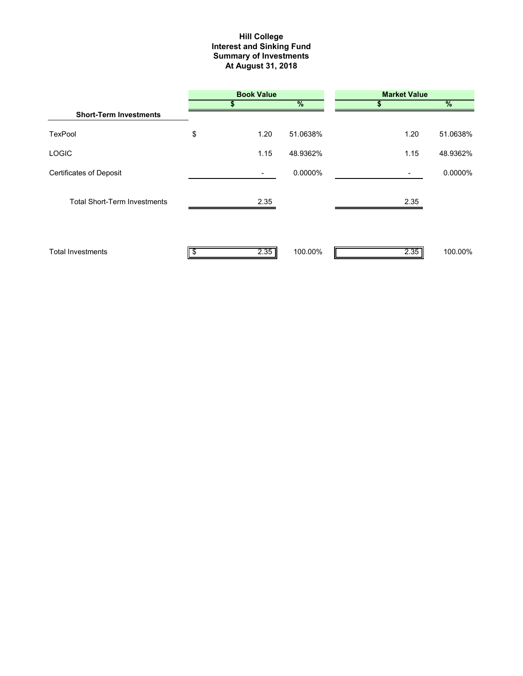#### **Interest and Sinking Fund Summary of Investments At August 31, 2018 Hill College**

|                                     |     | <b>Book Value</b>        |               | <b>Market Value</b> |               |
|-------------------------------------|-----|--------------------------|---------------|---------------------|---------------|
|                                     |     | S                        | $\frac{9}{6}$ | 55                  | $\frac{9}{6}$ |
| <b>Short-Term Investments</b>       |     |                          |               |                     |               |
| <b>TexPool</b>                      | \$  | 1.20                     | 51.0638%      | 1.20                | 51.0638%      |
| <b>LOGIC</b>                        |     | 1.15                     | 48.9362%      | 1.15                | 48.9362%      |
| <b>Certificates of Deposit</b>      |     | $\overline{\phantom{a}}$ | 0.0000%       |                     | 0.0000%       |
| <b>Total Short-Term Investments</b> |     | 2.35                     |               | 2.35                |               |
| <b>Total Investments</b>            | \$. | 2.35                     | 100.00%       | 2.35                | 100.00%       |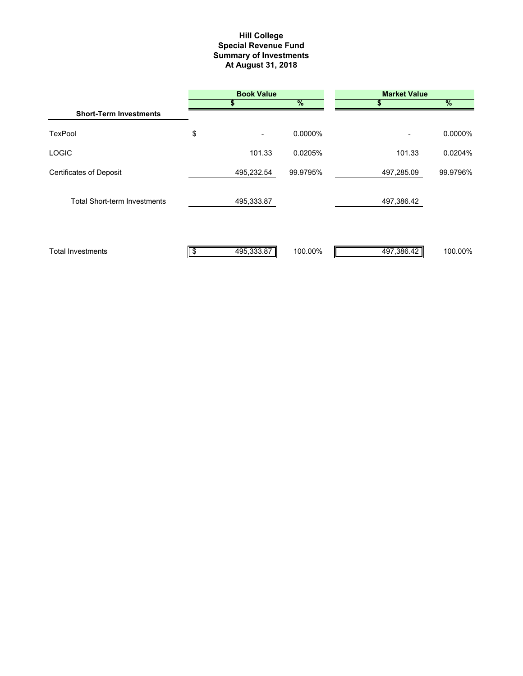#### **Summary of Investments At August 31, 2018 Special Revenue Fund Hill College**

|                                     | <b>Book Value</b> |            |          | <b>Market Value</b> |            |  |
|-------------------------------------|-------------------|------------|----------|---------------------|------------|--|
|                                     |                   | \$         | $\%$     |                     | $\%$       |  |
| <b>Short-Term Investments</b>       |                   |            |          |                     |            |  |
| <b>TexPool</b>                      | \$                |            | 0.0000%  |                     | $0.0000\%$ |  |
| <b>LOGIC</b>                        |                   | 101.33     | 0.0205%  | 101.33              | 0.0204%    |  |
| <b>Certificates of Deposit</b>      |                   | 495,232.54 | 99.9795% | 497,285.09          | 99.9796%   |  |
| <b>Total Short-term Investments</b> |                   | 495,333.87 |          | 497,386.42          |            |  |
| <b>Total Investments</b>            |                   | 495,333.87 | 100.00%  | 497,386.42          | 100.00%    |  |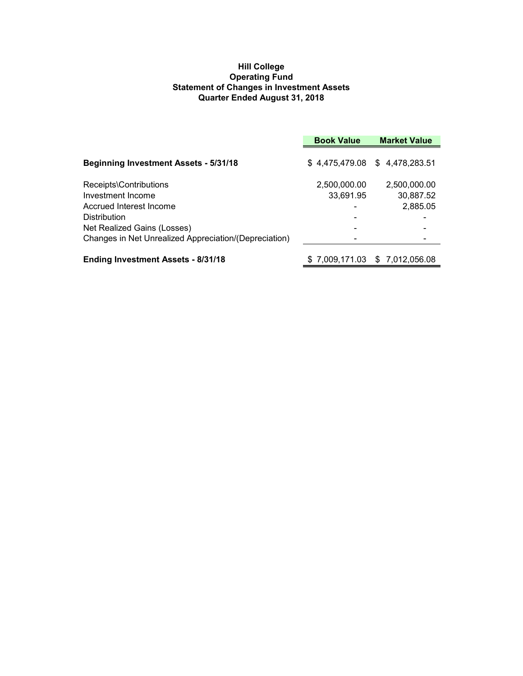## **Hill College Operating Fund Statement of Changes in Investment Assets Quarter Ended August 31, 2018**

|                                                       | <b>Book Value</b> | <b>Market Value</b>           |  |
|-------------------------------------------------------|-------------------|-------------------------------|--|
| <b>Beginning Investment Assets - 5/31/18</b>          |                   | \$4,475,479.08 \$4,478,283.51 |  |
| Receipts\Contributions                                | 2,500,000.00      | 2,500,000.00                  |  |
| Investment Income                                     | 33,691.95         | 30,887.52                     |  |
| Accrued Interest Income                               |                   | 2,885.05                      |  |
| <b>Distribution</b>                                   |                   |                               |  |
| Net Realized Gains (Losses)                           |                   |                               |  |
| Changes in Net Unrealized Appreciation/(Depreciation) |                   |                               |  |
| <b>Ending Investment Assets - 8/31/18</b>             |                   | \$7,009,171.03 \$7,012,056.08 |  |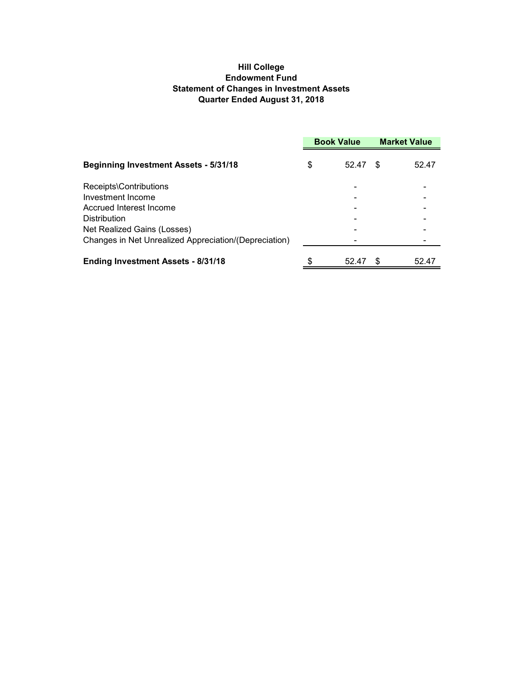# **Hill College Endowment Fund Statement of Changes in Investment Assets Quarter Ended August 31, 2018**

|                                                       | <b>Book Value</b> |       | <b>Market Value</b> |       |
|-------------------------------------------------------|-------------------|-------|---------------------|-------|
| <b>Beginning Investment Assets - 5/31/18</b>          | \$                | 52.47 | S                   | 52.47 |
| Receipts\Contributions                                |                   |       |                     |       |
| Investment Income                                     |                   |       |                     |       |
| Accrued Interest Income                               |                   |       |                     |       |
| <b>Distribution</b>                                   |                   |       |                     |       |
| Net Realized Gains (Losses)                           |                   |       |                     |       |
| Changes in Net Unrealized Appreciation/(Depreciation) |                   |       |                     |       |
| <b>Ending Investment Assets - 8/31/18</b>             | \$                | 52.47 |                     | 52.47 |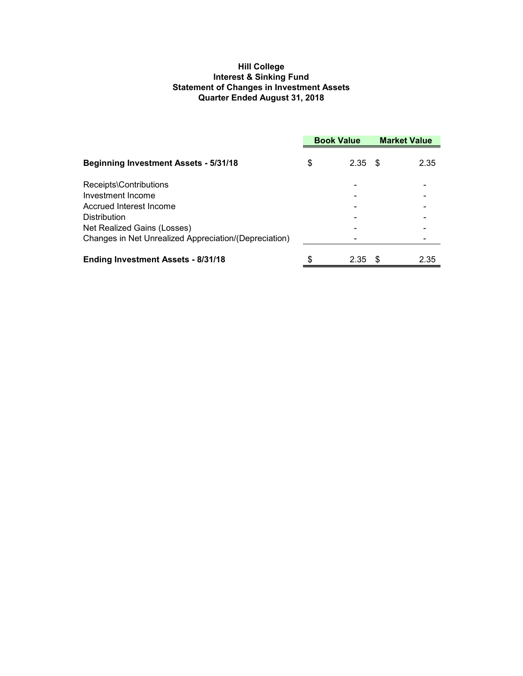# **Hill College Interest & Sinking Fund Statement of Changes in Investment Assets Quarter Ended August 31, 2018**

|                                                       | <b>Book Value</b> |      | <b>Market Value</b> |      |
|-------------------------------------------------------|-------------------|------|---------------------|------|
| <b>Beginning Investment Assets - 5/31/18</b>          | \$                | 2.35 | - \$                | 2.35 |
| Receipts\Contributions                                |                   |      |                     |      |
| Investment Income                                     |                   |      |                     |      |
| Accrued Interest Income                               |                   |      |                     |      |
| <b>Distribution</b>                                   |                   |      |                     |      |
| Net Realized Gains (Losses)                           |                   |      |                     |      |
| Changes in Net Unrealized Appreciation/(Depreciation) |                   |      |                     |      |
| <b>Ending Investment Assets - 8/31/18</b>             | \$                | 2.35 | -S                  | 2.35 |